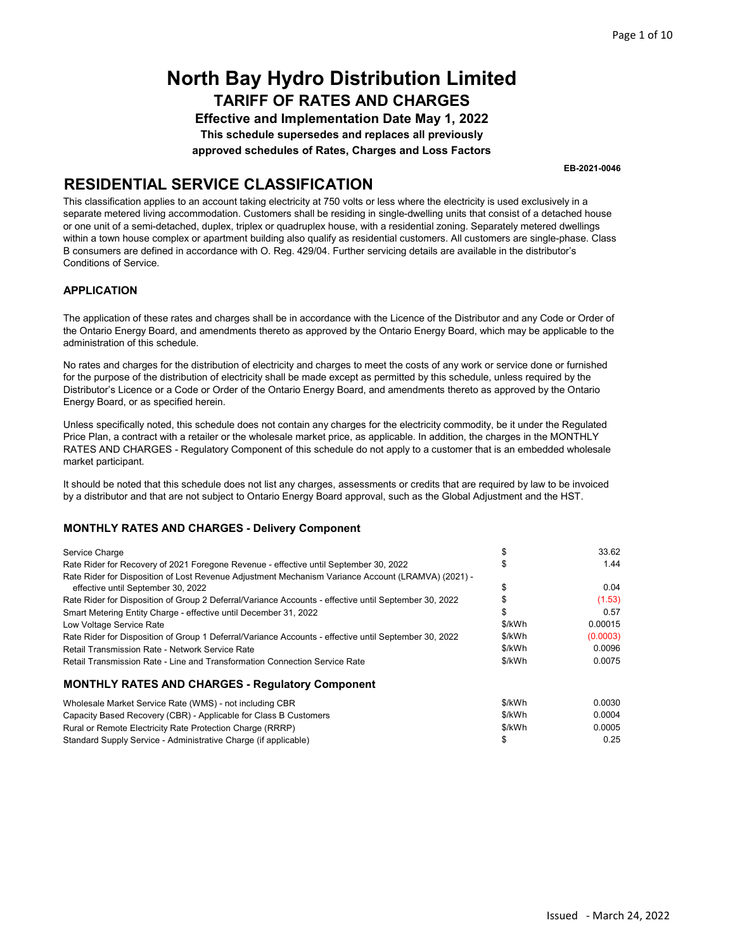Effective and Implementation Date May 1, 2022 This schedule supersedes and replaces all previously approved schedules of Rates, Charges and Loss Factors

EB-2021-0046

### RESIDENTIAL SERVICE CLASSIFICATION

This classification applies to an account taking electricity at 750 volts or less where the electricity is used exclusively in a separate metered living accommodation. Customers shall be residing in single-dwelling units that consist of a detached house or one unit of a semi-detached, duplex, triplex or quadruplex house, with a residential zoning. Separately metered dwellings within a town house complex or apartment building also qualify as residential customers. All customers are single-phase. Class B consumers are defined in accordance with O. Reg. 429/04. Further servicing details are available in the distributor's Conditions of Service.

### APPLICATION

The application of these rates and charges shall be in accordance with the Licence of the Distributor and any Code or Order of the Ontario Energy Board, and amendments thereto as approved by the Ontario Energy Board, which may be applicable to the administration of this schedule.

No rates and charges for the distribution of electricity and charges to meet the costs of any work or service done or furnished for the purpose of the distribution of electricity shall be made except as permitted by this schedule, unless required by the Distributor's Licence or a Code or Order of the Ontario Energy Board, and amendments thereto as approved by the Ontario Energy Board, or as specified herein.

Unless specifically noted, this schedule does not contain any charges for the electricity commodity, be it under the Regulated Price Plan, a contract with a retailer or the wholesale market price, as applicable. In addition, the charges in the MONTHLY RATES AND CHARGES - Regulatory Component of this schedule do not apply to a customer that is an embedded wholesale market participant.

It should be noted that this schedule does not list any charges, assessments or credits that are required by law to be invoiced by a distributor and that are not subject to Ontario Energy Board approval, such as the Global Adjustment and the HST.

| Service Charge                                                                                        |        | 33.62    |
|-------------------------------------------------------------------------------------------------------|--------|----------|
| Rate Rider for Recovery of 2021 Foregone Revenue - effective until September 30, 2022                 |        | 1.44     |
| Rate Rider for Disposition of Lost Revenue Adjustment Mechanism Variance Account (LRAMVA) (2021) -    |        |          |
| effective until September 30, 2022                                                                    |        | 0.04     |
| Rate Rider for Disposition of Group 2 Deferral/Variance Accounts - effective until September 30, 2022 |        | (1.53)   |
| Smart Metering Entity Charge - effective until December 31, 2022                                      |        | 0.57     |
| Low Voltage Service Rate                                                                              | \$/kWh | 0.00015  |
| Rate Rider for Disposition of Group 1 Deferral/Variance Accounts - effective until September 30, 2022 | \$/kWh | (0.0003) |
| Retail Transmission Rate - Network Service Rate                                                       | \$/kWh | 0.0096   |
| Retail Transmission Rate - Line and Transformation Connection Service Rate                            | \$/kWh | 0.0075   |
|                                                                                                       |        |          |
| <b>MONTHLY RATES AND CHARGES - Requiatory Component</b>                                               |        |          |

| Wholesale Market Service Rate (WMS) - not including CBR          | \$/kWh | 0.0030 |
|------------------------------------------------------------------|--------|--------|
| Capacity Based Recovery (CBR) - Applicable for Class B Customers | \$/kWh | 0.0004 |
| Rural or Remote Electricity Rate Protection Charge (RRRP)        | \$/kWh | 0.0005 |
| Standard Supply Service - Administrative Charge (if applicable)  |        | 0.25   |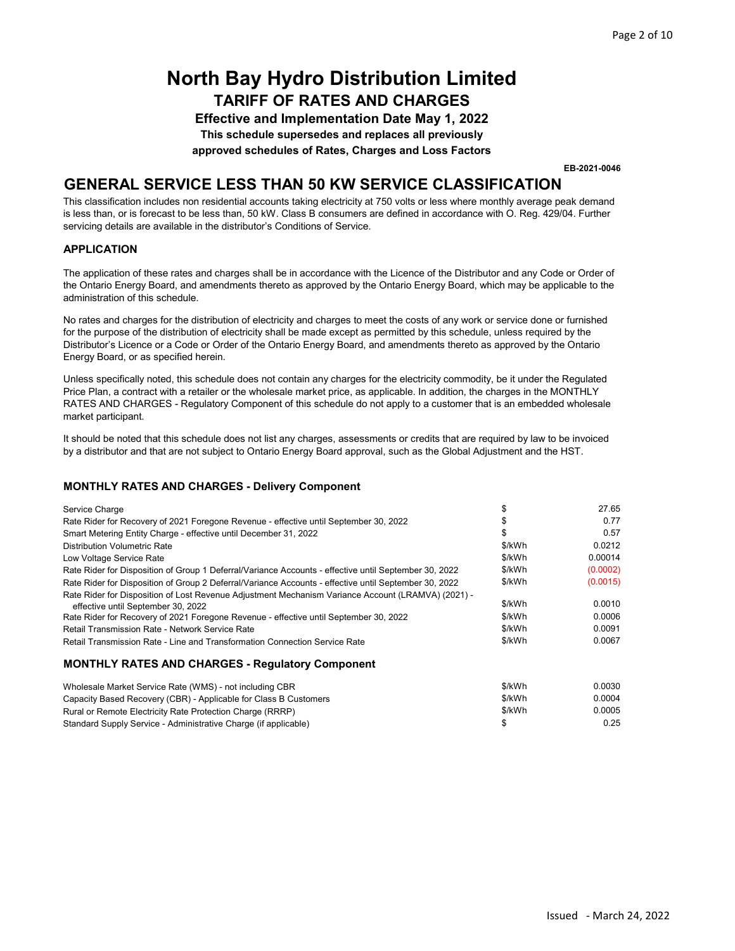Effective and Implementation Date May 1, 2022 This schedule supersedes and replaces all previously approved schedules of Rates, Charges and Loss Factors

EB-2021-0046

### GENERAL SERVICE LESS THAN 50 KW SERVICE CLASSIFICATION

This classification includes non residential accounts taking electricity at 750 volts or less where monthly average peak demand is less than, or is forecast to be less than, 50 kW. Class B consumers are defined in accordance with O. Reg. 429/04. Further servicing details are available in the distributor's Conditions of Service.

#### APPLICATION

The application of these rates and charges shall be in accordance with the Licence of the Distributor and any Code or Order of the Ontario Energy Board, and amendments thereto as approved by the Ontario Energy Board, which may be applicable to the administration of this schedule.

No rates and charges for the distribution of electricity and charges to meet the costs of any work or service done or furnished for the purpose of the distribution of electricity shall be made except as permitted by this schedule, unless required by the Distributor's Licence or a Code or Order of the Ontario Energy Board, and amendments thereto as approved by the Ontario Energy Board, or as specified herein.

Unless specifically noted, this schedule does not contain any charges for the electricity commodity, be it under the Regulated Price Plan, a contract with a retailer or the wholesale market price, as applicable. In addition, the charges in the MONTHLY RATES AND CHARGES - Regulatory Component of this schedule do not apply to a customer that is an embedded wholesale market participant.

It should be noted that this schedule does not list any charges, assessments or credits that are required by law to be invoiced by a distributor and that are not subject to Ontario Energy Board approval, such as the Global Adjustment and the HST.

#### MONTHLY RATES AND CHARGES - Delivery Component

Standard Supply Service - Administrative Charge (if applicable)

| Service Charge                                                                                                                           | \$     | 27.65    |
|------------------------------------------------------------------------------------------------------------------------------------------|--------|----------|
| Rate Rider for Recovery of 2021 Foregone Revenue - effective until September 30, 2022                                                    | S      | 0.77     |
| Smart Metering Entity Charge - effective until December 31, 2022                                                                         | S      | 0.57     |
| Distribution Volumetric Rate                                                                                                             | \$/kWh | 0.0212   |
| Low Voltage Service Rate                                                                                                                 | \$/kWh | 0.00014  |
| Rate Rider for Disposition of Group 1 Deferral/Variance Accounts - effective until September 30, 2022                                    | \$/kWh | (0.0002) |
| Rate Rider for Disposition of Group 2 Deferral/Variance Accounts - effective until September 30, 2022                                    | \$/kWh | (0.0015) |
| Rate Rider for Disposition of Lost Revenue Adjustment Mechanism Variance Account (LRAMVA) (2021) -<br>effective until September 30, 2022 | \$/kWh | 0.0010   |
| Rate Rider for Recovery of 2021 Foregone Revenue - effective until September 30, 2022                                                    | \$/kWh | 0.0006   |
| Retail Transmission Rate - Network Service Rate                                                                                          | \$/kWh | 0.0091   |
| Retail Transmission Rate - Line and Transformation Connection Service Rate                                                               | \$/kWh | 0.0067   |
| <b>MONTHLY RATES AND CHARGES - Regulatory Component</b>                                                                                  |        |          |
| Wholesale Market Service Rate (WMS) - not including CBR                                                                                  | \$/kWh | 0.0030   |
| Capacity Based Recovery (CBR) - Applicable for Class B Customers                                                                         | \$/kWh | 0.0004   |
| Rural or Remote Electricity Rate Protection Charge (RRRP)                                                                                | \$/kWh | 0.0005   |

\$ 0.25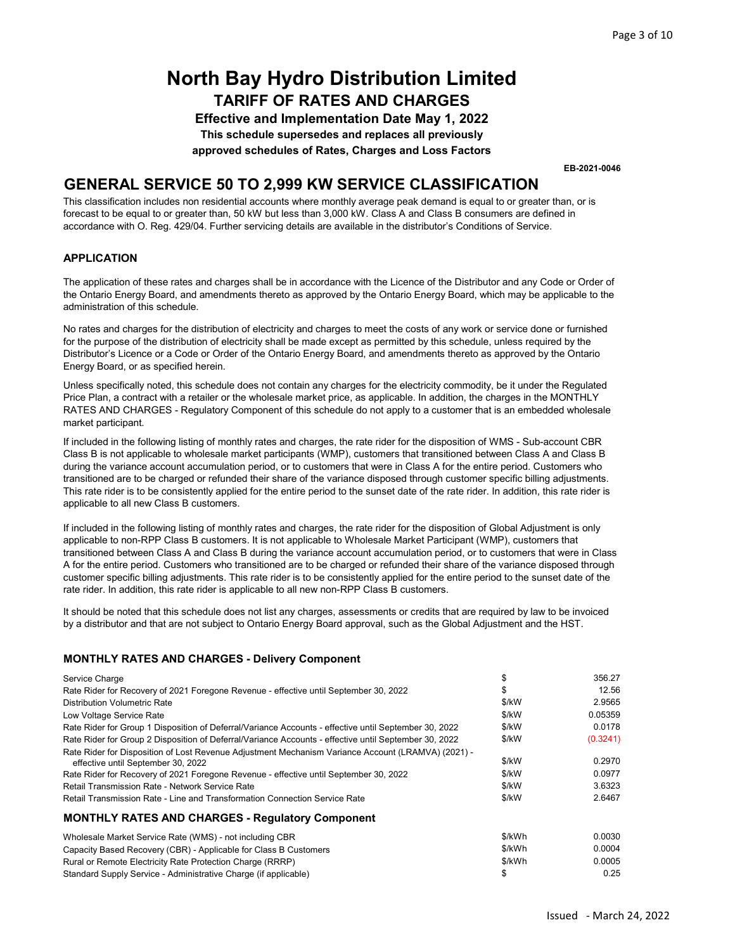Effective and Implementation Date May 1, 2022 This schedule supersedes and replaces all previously approved schedules of Rates, Charges and Loss Factors

EB-2021-0046

### GENERAL SERVICE 50 TO 2,999 KW SERVICE CLASSIFICATION

This classification includes non residential accounts where monthly average peak demand is equal to or greater than, or is forecast to be equal to or greater than, 50 kW but less than 3,000 kW. Class A and Class B consumers are defined in accordance with O. Reg. 429/04. Further servicing details are available in the distributor's Conditions of Service.

#### **APPLICATION**

The application of these rates and charges shall be in accordance with the Licence of the Distributor and any Code or Order of the Ontario Energy Board, and amendments thereto as approved by the Ontario Energy Board, which may be applicable to the administration of this schedule.

No rates and charges for the distribution of electricity and charges to meet the costs of any work or service done or furnished for the purpose of the distribution of electricity shall be made except as permitted by this schedule, unless required by the Distributor's Licence or a Code or Order of the Ontario Energy Board, and amendments thereto as approved by the Ontario Energy Board, or as specified herein.

Unless specifically noted, this schedule does not contain any charges for the electricity commodity, be it under the Regulated Price Plan, a contract with a retailer or the wholesale market price, as applicable. In addition, the charges in the MONTHLY RATES AND CHARGES - Regulatory Component of this schedule do not apply to a customer that is an embedded wholesale market participant.

If included in the following listing of monthly rates and charges, the rate rider for the disposition of WMS - Sub-account CBR Class B is not applicable to wholesale market participants (WMP), customers that transitioned between Class A and Class B during the variance account accumulation period, or to customers that were in Class A for the entire period. Customers who transitioned are to be charged or refunded their share of the variance disposed through customer specific billing adjustments. This rate rider is to be consistently applied for the entire period to the sunset date of the rate rider. In addition, this rate rider is applicable to all new Class B customers.

If included in the following listing of monthly rates and charges, the rate rider for the disposition of Global Adjustment is only applicable to non-RPP Class B customers. It is not applicable to Wholesale Market Participant (WMP), customers that transitioned between Class A and Class B during the variance account accumulation period, or to customers that were in Class A for the entire period. Customers who transitioned are to be charged or refunded their share of the variance disposed through customer specific billing adjustments. This rate rider is to be consistently applied for the entire period to the sunset date of the rate rider. In addition, this rate rider is applicable to all new non-RPP Class B customers.

It should be noted that this schedule does not list any charges, assessments or credits that are required by law to be invoiced by a distributor and that are not subject to Ontario Energy Board approval, such as the Global Adjustment and the HST.

| Service Charge                                                                                        | \$     | 356.27   |
|-------------------------------------------------------------------------------------------------------|--------|----------|
| Rate Rider for Recovery of 2021 Foregone Revenue - effective until September 30, 2022                 | S      | 12.56    |
| Distribution Volumetric Rate                                                                          | \$/kW  | 2.9565   |
| Low Voltage Service Rate                                                                              | \$/kW  | 0.05359  |
| Rate Rider for Group 1 Disposition of Deferral/Variance Accounts - effective until September 30, 2022 | \$/kW  | 0.0178   |
| Rate Rider for Group 2 Disposition of Deferral/Variance Accounts - effective until September 30, 2022 | \$/kW  | (0.3241) |
| Rate Rider for Disposition of Lost Revenue Adjustment Mechanism Variance Account (LRAMVA) (2021) -    |        |          |
| effective until September 30, 2022                                                                    | \$/kW  | 0.2970   |
| Rate Rider for Recovery of 2021 Foregone Revenue - effective until September 30, 2022                 | \$/kW  | 0.0977   |
| Retail Transmission Rate - Network Service Rate                                                       | \$/kW  | 3.6323   |
| Retail Transmission Rate - Line and Transformation Connection Service Rate                            | \$/kW  | 2.6467   |
| <b>MONTHLY RATES AND CHARGES - Requiatory Component</b>                                               |        |          |
| Wholesale Market Service Rate (WMS) - not including CBR                                               | \$/kWh | 0.0030   |
| Capacity Based Recovery (CBR) - Applicable for Class B Customers                                      | \$/kWh | 0.0004   |
| Rural or Remote Electricity Rate Protection Charge (RRRP)                                             | \$/kWh | 0.0005   |
| Standard Supply Service - Administrative Charge (if applicable)                                       | \$     | 0.25     |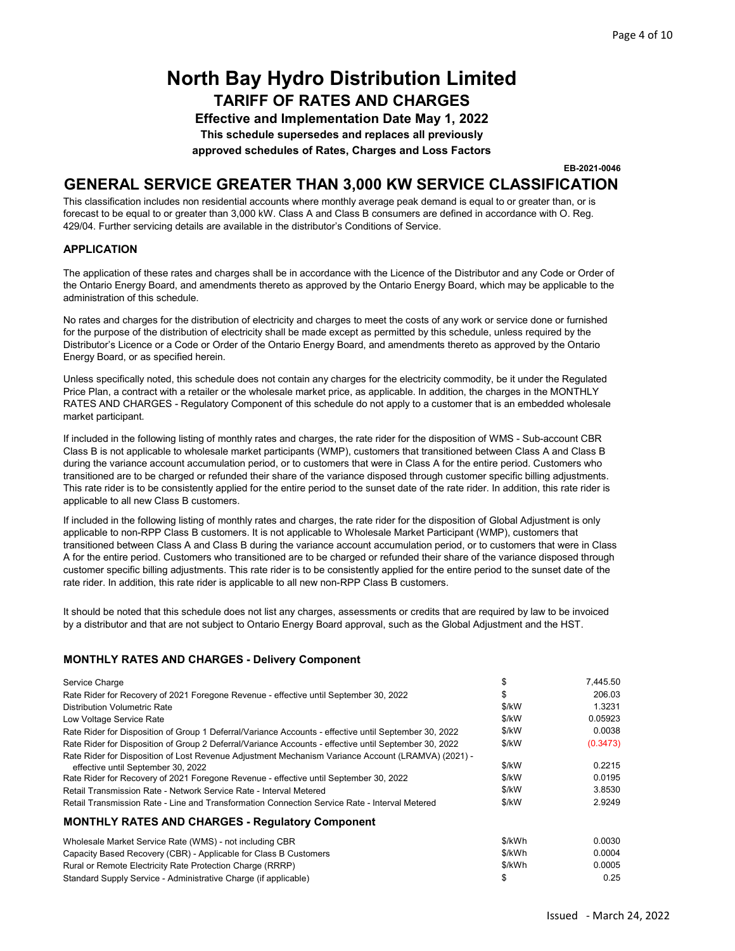Effective and Implementation Date May 1, 2022 This schedule supersedes and replaces all previously approved schedules of Rates, Charges and Loss Factors

EB-2021-0046

### GENERAL SERVICE GREATER THAN 3,000 KW SERVICE CLASSIFICATION

This classification includes non residential accounts where monthly average peak demand is equal to or greater than, or is forecast to be equal to or greater than 3,000 kW. Class A and Class B consumers are defined in accordance with O. Reg. 429/04. Further servicing details are available in the distributor's Conditions of Service.

#### APPLICATION

The application of these rates and charges shall be in accordance with the Licence of the Distributor and any Code or Order of the Ontario Energy Board, and amendments thereto as approved by the Ontario Energy Board, which may be applicable to the administration of this schedule.

No rates and charges for the distribution of electricity and charges to meet the costs of any work or service done or furnished for the purpose of the distribution of electricity shall be made except as permitted by this schedule, unless required by the Distributor's Licence or a Code or Order of the Ontario Energy Board, and amendments thereto as approved by the Ontario Energy Board, or as specified herein.

Unless specifically noted, this schedule does not contain any charges for the electricity commodity, be it under the Regulated Price Plan, a contract with a retailer or the wholesale market price, as applicable. In addition, the charges in the MONTHLY RATES AND CHARGES - Regulatory Component of this schedule do not apply to a customer that is an embedded wholesale market participant.

If included in the following listing of monthly rates and charges, the rate rider for the disposition of WMS - Sub-account CBR Class B is not applicable to wholesale market participants (WMP), customers that transitioned between Class A and Class B during the variance account accumulation period, or to customers that were in Class A for the entire period. Customers who transitioned are to be charged or refunded their share of the variance disposed through customer specific billing adjustments. This rate rider is to be consistently applied for the entire period to the sunset date of the rate rider. In addition, this rate rider is applicable to all new Class B customers.

If included in the following listing of monthly rates and charges, the rate rider for the disposition of Global Adjustment is only applicable to non-RPP Class B customers. It is not applicable to Wholesale Market Participant (WMP), customers that transitioned between Class A and Class B during the variance account accumulation period, or to customers that were in Class A for the entire period. Customers who transitioned are to be charged or refunded their share of the variance disposed through customer specific billing adjustments. This rate rider is to be consistently applied for the entire period to the sunset date of the rate rider. In addition, this rate rider is applicable to all new non-RPP Class B customers.

It should be noted that this schedule does not list any charges, assessments or credits that are required by law to be invoiced by a distributor and that are not subject to Ontario Energy Board approval, such as the Global Adjustment and the HST.

| Service Charge                                                                                        | \$     | 7,445.50 |
|-------------------------------------------------------------------------------------------------------|--------|----------|
| Rate Rider for Recovery of 2021 Foregone Revenue - effective until September 30, 2022                 | \$     | 206.03   |
| Distribution Volumetric Rate                                                                          | \$/kW  | 1.3231   |
| Low Voltage Service Rate                                                                              | \$/kW  | 0.05923  |
| Rate Rider for Disposition of Group 1 Deferral/Variance Accounts - effective until September 30, 2022 | \$/kW  | 0.0038   |
| Rate Rider for Disposition of Group 2 Deferral/Variance Accounts - effective until September 30, 2022 | \$/kW  | (0.3473) |
| Rate Rider for Disposition of Lost Revenue Adjustment Mechanism Variance Account (LRAMVA) (2021) -    |        |          |
| effective until September 30, 2022                                                                    | \$/kW  | 0.2215   |
| Rate Rider for Recovery of 2021 Foregone Revenue - effective until September 30, 2022                 | \$/kW  | 0.0195   |
| Retail Transmission Rate - Network Service Rate - Interval Metered                                    | \$/kW  | 3.8530   |
| Retail Transmission Rate - Line and Transformation Connection Service Rate - Interval Metered         | \$/kW  | 2.9249   |
| <b>MONTHLY RATES AND CHARGES - Requiatory Component</b>                                               |        |          |
| Wholesale Market Service Rate (WMS) - not including CBR                                               | \$/kWh | 0.0030   |
| Capacity Based Recovery (CBR) - Applicable for Class B Customers                                      | \$/kWh | 0.0004   |
| Rural or Remote Electricity Rate Protection Charge (RRRP)                                             | \$/kWh | 0.0005   |
| Standard Supply Service - Administrative Charge (if applicable)                                       | \$     | 0.25     |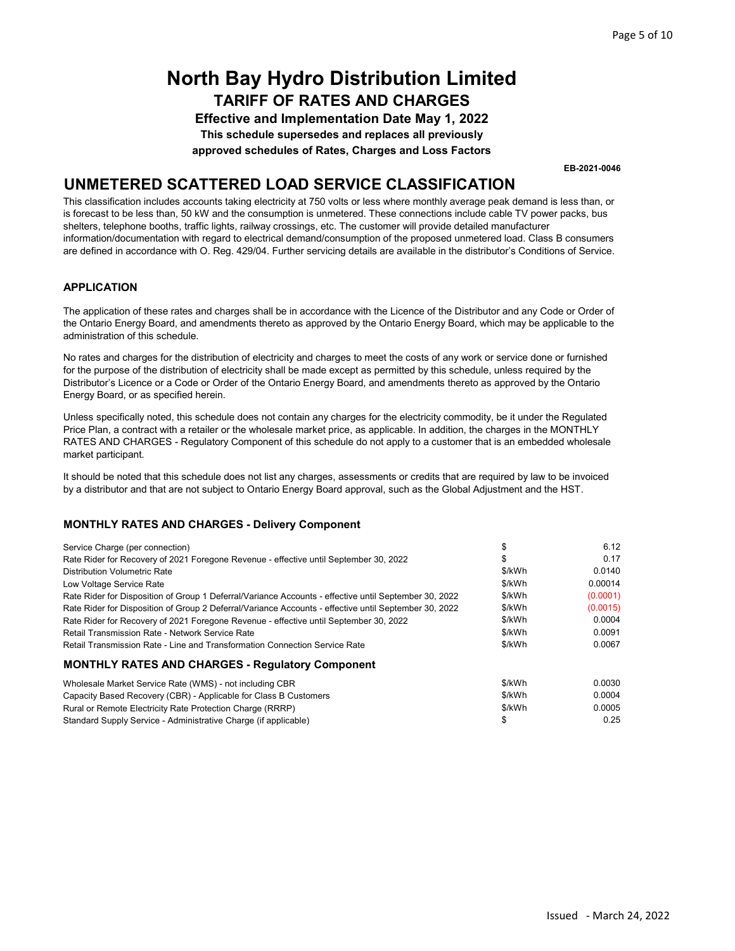Effective and Implementation Date May 1, 2022 This schedule supersedes and replaces all previously approved schedules of Rates, Charges and Loss Factors

EB-2021-0046

### UNMETERED SCATTERED LOAD SERVICE CLASSIFICATION

This classification includes accounts taking electricity at 750 volts or less where monthly average peak demand is less than, or is forecast to be less than, 50 kW and the consumption is unmetered. These connections include cable TV power packs, bus shelters, telephone booths, traffic lights, railway crossings, etc. The customer will provide detailed manufacturer information/documentation with regard to electrical demand/consumption of the proposed unmetered load. Class B consumers are defined in accordance with O. Reg. 429/04. Further servicing details are available in the distributor's Conditions of Service.

#### APPLICATION

The application of these rates and charges shall be in accordance with the Licence of the Distributor and any Code or Order of the Ontario Energy Board, and amendments thereto as approved by the Ontario Energy Board, which may be applicable to the administration of this schedule.

No rates and charges for the distribution of electricity and charges to meet the costs of any work or service done or furnished for the purpose of the distribution of electricity shall be made except as permitted by this schedule, unless required by the Distributor's Licence or a Code or Order of the Ontario Energy Board, and amendments thereto as approved by the Ontario Energy Board, or as specified herein.

Unless specifically noted, this schedule does not contain any charges for the electricity commodity, be it under the Regulated Price Plan, a contract with a retailer or the wholesale market price, as applicable. In addition, the charges in the MONTHLY RATES AND CHARGES - Regulatory Component of this schedule do not apply to a customer that is an embedded wholesale market participant.

It should be noted that this schedule does not list any charges, assessments or credits that are required by law to be invoiced by a distributor and that are not subject to Ontario Energy Board approval, such as the Global Adjustment and the HST.

| Service Charge (per connection)                                                                       |        | 6.12     |
|-------------------------------------------------------------------------------------------------------|--------|----------|
| Rate Rider for Recovery of 2021 Foregone Revenue - effective until September 30, 2022                 | \$     | 0.17     |
| Distribution Volumetric Rate                                                                          | \$/kWh | 0.0140   |
| Low Voltage Service Rate                                                                              | \$/kWh | 0.00014  |
| Rate Rider for Disposition of Group 1 Deferral/Variance Accounts - effective until September 30, 2022 | \$/kWh | (0.0001) |
| Rate Rider for Disposition of Group 2 Deferral/Variance Accounts - effective until September 30, 2022 | \$/kWh | (0.0015) |
| Rate Rider for Recovery of 2021 Foregone Revenue - effective until September 30, 2022                 | \$/kWh | 0.0004   |
| Retail Transmission Rate - Network Service Rate                                                       | \$/kWh | 0.0091   |
| Retail Transmission Rate - Line and Transformation Connection Service Rate                            | \$/kWh | 0.0067   |
| <b>MONTHLY RATES AND CHARGES - Regulatory Component</b>                                               |        |          |
| Wholesale Market Service Rate (WMS) - not including CBR                                               | \$/kWh | 0.0030   |
| Capacity Based Recovery (CBR) - Applicable for Class B Customers                                      | \$/kWh | 0.0004   |
| Rural or Remote Electricity Rate Protection Charge (RRRP)                                             | \$/kWh | 0.0005   |
| Standard Supply Service - Administrative Charge (if applicable)                                       | \$     | 0.25     |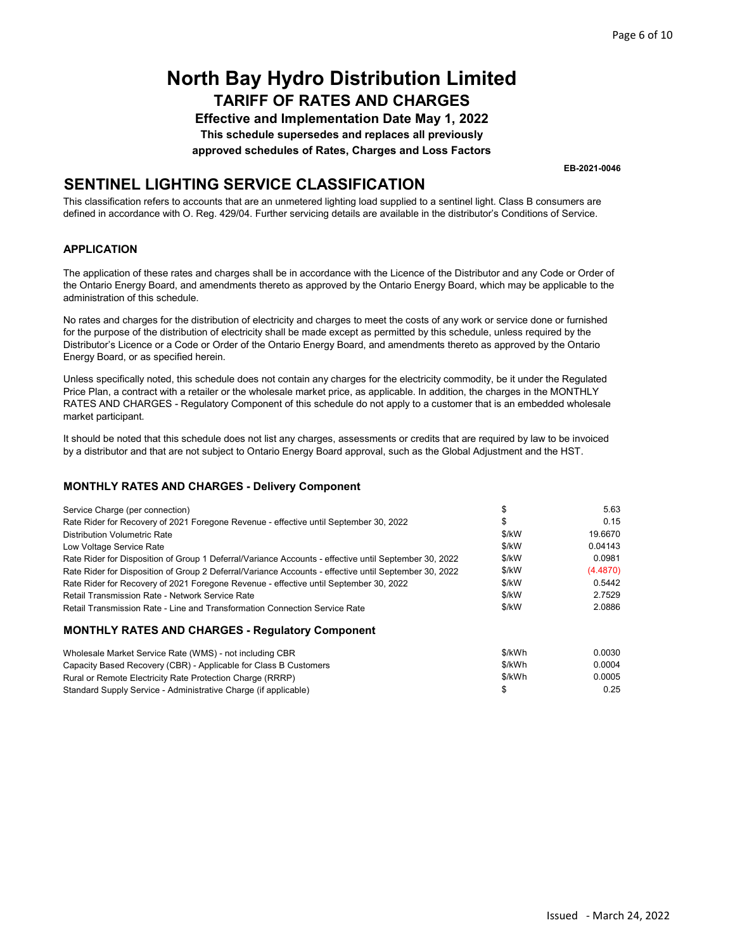Effective and Implementation Date May 1, 2022 This schedule supersedes and replaces all previously approved schedules of Rates, Charges and Loss Factors

EB-2021-0046

## SENTINEL LIGHTING SERVICE CLASSIFICATION

This classification refers to accounts that are an unmetered lighting load supplied to a sentinel light. Class B consumers are defined in accordance with O. Reg. 429/04. Further servicing details are available in the distributor's Conditions of Service.

#### APPLICATION

The application of these rates and charges shall be in accordance with the Licence of the Distributor and any Code or Order of the Ontario Energy Board, and amendments thereto as approved by the Ontario Energy Board, which may be applicable to the administration of this schedule.

No rates and charges for the distribution of electricity and charges to meet the costs of any work or service done or furnished for the purpose of the distribution of electricity shall be made except as permitted by this schedule, unless required by the Distributor's Licence or a Code or Order of the Ontario Energy Board, and amendments thereto as approved by the Ontario Energy Board, or as specified herein.

Unless specifically noted, this schedule does not contain any charges for the electricity commodity, be it under the Regulated Price Plan, a contract with a retailer or the wholesale market price, as applicable. In addition, the charges in the MONTHLY RATES AND CHARGES - Regulatory Component of this schedule do not apply to a customer that is an embedded wholesale market participant.

It should be noted that this schedule does not list any charges, assessments or credits that are required by law to be invoiced by a distributor and that are not subject to Ontario Energy Board approval, such as the Global Adjustment and the HST.

| Service Charge (per connection)                                                                       |        | 5.63     |
|-------------------------------------------------------------------------------------------------------|--------|----------|
| Rate Rider for Recovery of 2021 Foregone Revenue - effective until September 30, 2022                 | S      | 0.15     |
| <b>Distribution Volumetric Rate</b>                                                                   | \$/kW  | 19.6670  |
| Low Voltage Service Rate                                                                              | \$/kW  | 0.04143  |
| Rate Rider for Disposition of Group 1 Deferral/Variance Accounts - effective until September 30, 2022 | \$/kW  | 0.0981   |
| Rate Rider for Disposition of Group 2 Deferral/Variance Accounts - effective until September 30, 2022 | \$/kW  | (4.4870) |
| Rate Rider for Recovery of 2021 Foregone Revenue - effective until September 30, 2022                 | \$/kW  | 0.5442   |
| Retail Transmission Rate - Network Service Rate                                                       | \$/kW  | 2.7529   |
| Retail Transmission Rate - Line and Transformation Connection Service Rate                            | \$/kW  | 2.0886   |
| <b>MONTHLY RATES AND CHARGES - Regulatory Component</b>                                               |        |          |
| Wholesale Market Service Rate (WMS) - not including CBR                                               | \$/kWh | 0.0030   |
|                                                                                                       |        |          |

| Capacity Based Recovery (CBR) - Applicable for Class B Customers | \$/kWh | 0.0004 |
|------------------------------------------------------------------|--------|--------|
| Rural or Remote Electricity Rate Protection Charge (RRRP)        | \$/kWh | 0.0005 |
| Standard Supply Service - Administrative Charge (if applicable)  |        | 0.25   |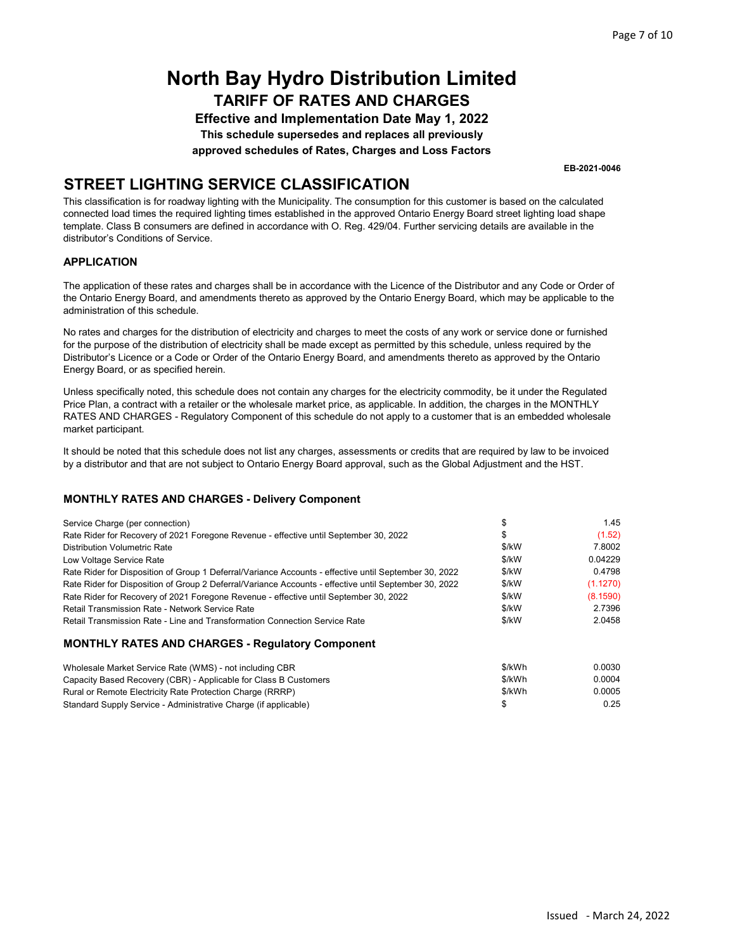Effective and Implementation Date May 1, 2022 This schedule supersedes and replaces all previously approved schedules of Rates, Charges and Loss Factors

EB-2021-0046

## STREET LIGHTING SERVICE CLASSIFICATION

This classification is for roadway lighting with the Municipality. The consumption for this customer is based on the calculated connected load times the required lighting times established in the approved Ontario Energy Board street lighting load shape template. Class B consumers are defined in accordance with O. Reg. 429/04. Further servicing details are available in the distributor's Conditions of Service.

#### APPLICATION

The application of these rates and charges shall be in accordance with the Licence of the Distributor and any Code or Order of the Ontario Energy Board, and amendments thereto as approved by the Ontario Energy Board, which may be applicable to the administration of this schedule.

No rates and charges for the distribution of electricity and charges to meet the costs of any work or service done or furnished for the purpose of the distribution of electricity shall be made except as permitted by this schedule, unless required by the Distributor's Licence or a Code or Order of the Ontario Energy Board, and amendments thereto as approved by the Ontario Energy Board, or as specified herein.

Unless specifically noted, this schedule does not contain any charges for the electricity commodity, be it under the Regulated Price Plan, a contract with a retailer or the wholesale market price, as applicable. In addition, the charges in the MONTHLY RATES AND CHARGES - Regulatory Component of this schedule do not apply to a customer that is an embedded wholesale market participant.

It should be noted that this schedule does not list any charges, assessments or credits that are required by law to be invoiced by a distributor and that are not subject to Ontario Energy Board approval, such as the Global Adjustment and the HST.

| Service Charge (per connection)                                                                       | ъ      | 1.45     |
|-------------------------------------------------------------------------------------------------------|--------|----------|
| Rate Rider for Recovery of 2021 Foregone Revenue - effective until September 30, 2022                 | S      | (1.52)   |
| <b>Distribution Volumetric Rate</b>                                                                   | \$/kW  | 7.8002   |
| Low Voltage Service Rate                                                                              | \$/kW  | 0.04229  |
| Rate Rider for Disposition of Group 1 Deferral/Variance Accounts - effective until September 30, 2022 | \$/kW  | 0.4798   |
| Rate Rider for Disposition of Group 2 Deferral/Variance Accounts - effective until September 30, 2022 | \$/kW  | (1.1270) |
| Rate Rider for Recovery of 2021 Foregone Revenue - effective until September 30, 2022                 | \$/kW  | (8.1590) |
| Retail Transmission Rate - Network Service Rate                                                       | \$/kW  | 2.7396   |
| Retail Transmission Rate - Line and Transformation Connection Service Rate                            | \$/kW  | 2.0458   |
| <b>MONTHLY RATES AND CHARGES - Regulatory Component</b>                                               |        |          |
| Wholesale Market Service Rate (WMS) - not including CBR                                               | \$/kWh | 0.0030   |

| Wholesale Market Service Rate (WMS) - not including CBR          | <b>DIKVVN</b> | <u>U.UUSU</u> |
|------------------------------------------------------------------|---------------|---------------|
| Capacity Based Recovery (CBR) - Applicable for Class B Customers | \$/kWh        | 0.0004        |
| Rural or Remote Electricity Rate Protection Charge (RRRP)        | \$/kWh        | 0.0005        |
| Standard Supply Service - Administrative Charge (if applicable)  |               | 0.25          |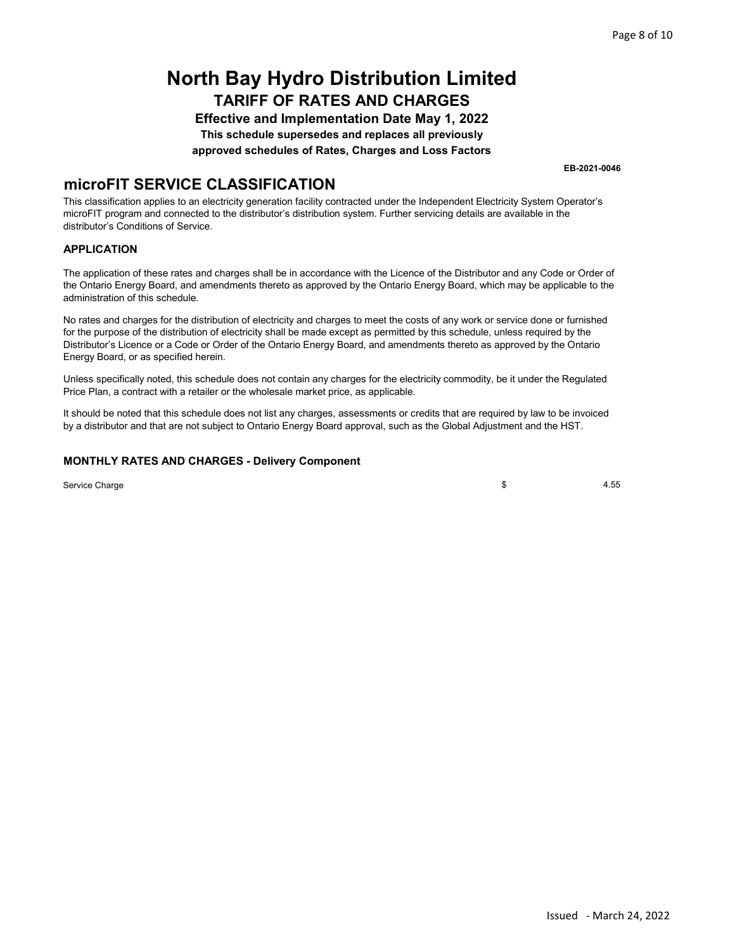Effective and Implementation Date May 1, 2022 This schedule supersedes and replaces all previously approved schedules of Rates, Charges and Loss Factors

EB-2021-0046

### microFIT SERVICE CLASSIFICATION

This classification applies to an electricity generation facility contracted under the Independent Electricity System Operator's microFIT program and connected to the distributor's distribution system. Further servicing details are available in the distributor's Conditions of Service.

#### APPLICATION

The application of these rates and charges shall be in accordance with the Licence of the Distributor and any Code or Order of the Ontario Energy Board, and amendments thereto as approved by the Ontario Energy Board, which may be applicable to the administration of this schedule.

No rates and charges for the distribution of electricity and charges to meet the costs of any work or service done or furnished for the purpose of the distribution of electricity shall be made except as permitted by this schedule, unless required by the Distributor's Licence or a Code or Order of the Ontario Energy Board, and amendments thereto as approved by the Ontario Energy Board, or as specified herein.

Unless specifically noted, this schedule does not contain any charges for the electricity commodity, be it under the Regulated Price Plan, a contract with a retailer or the wholesale market price, as applicable.

It should be noted that this schedule does not list any charges, assessments or credits that are required by law to be invoiced by a distributor and that are not subject to Ontario Energy Board approval, such as the Global Adjustment and the HST.

#### MONTHLY RATES AND CHARGES - Delivery Component

Service Charge

\$ 4.55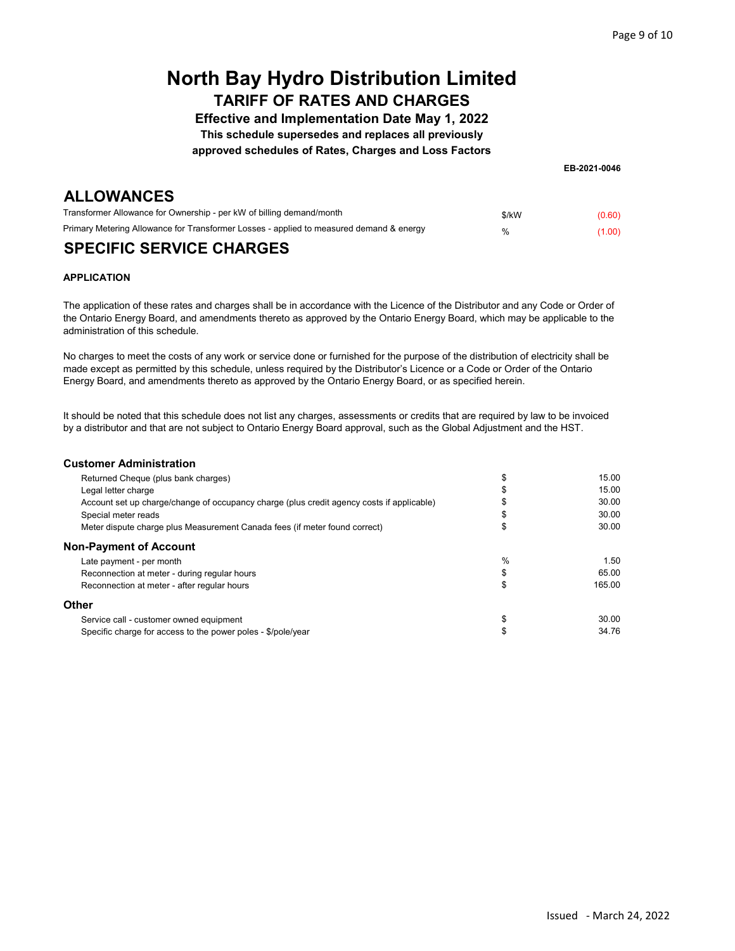Effective and Implementation Date May 1, 2022

This schedule supersedes and replaces all previously

approved schedules of Rates, Charges and Loss Factors

EB-2021-0046

### **ALLOWANCES**

| .                                                                                       |               |        |
|-----------------------------------------------------------------------------------------|---------------|--------|
| Transformer Allowance for Ownership - per kW of billing demand/month                    | \$/kW         | (0.60) |
| Primary Metering Allowance for Transformer Losses - applied to measured demand & energy | $\frac{1}{2}$ | (1.00) |
|                                                                                         |               |        |

### SPECIFIC SERVICE CHARGES

#### APPLICATION

The application of these rates and charges shall be in accordance with the Licence of the Distributor and any Code or Order of the Ontario Energy Board, and amendments thereto as approved by the Ontario Energy Board, which may be applicable to the administration of this schedule.

No charges to meet the costs of any work or service done or furnished for the purpose of the distribution of electricity shall be made except as permitted by this schedule, unless required by the Distributor's Licence or a Code or Order of the Ontario Energy Board, and amendments thereto as approved by the Ontario Energy Board, or as specified herein.

It should be noted that this schedule does not list any charges, assessments or credits that are required by law to be invoiced by a distributor and that are not subject to Ontario Energy Board approval, such as the Global Adjustment and the HST.

#### Customer Administration

| Returned Cheque (plus bank charges)                                                       |    | 15.00  |
|-------------------------------------------------------------------------------------------|----|--------|
| Legal letter charge                                                                       |    | 15.00  |
| Account set up charge/change of occupancy charge (plus credit agency costs if applicable) |    | 30.00  |
| Special meter reads                                                                       |    | 30.00  |
| Meter dispute charge plus Measurement Canada fees (if meter found correct)                |    | 30.00  |
| Non-Payment of Account                                                                    |    |        |
| Late payment - per month                                                                  | %  | 1.50   |
| Reconnection at meter - during regular hours                                              | \$ | 65.00  |
| Reconnection at meter - after regular hours                                               | \$ | 165.00 |
| Other                                                                                     |    |        |
| Service call - customer owned equipment                                                   | \$ | 30.00  |
| Specific charge for access to the power poles - \$/pole/year                              |    | 34.76  |